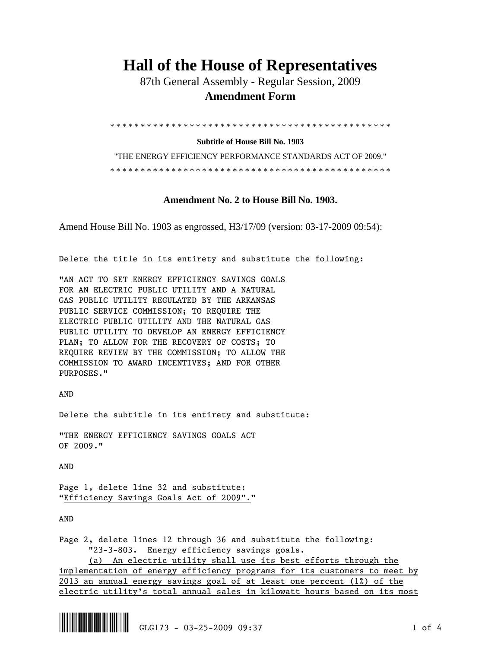## **Hall of the House of Representatives**

 87th General Assembly - Regular Session, 2009  **Amendment Form** 

\* \* \* \* \* \* \* \* \* \* \* \* \* \* \* \* \* \* \* \* \* \* \* \* \* \* \* \* \* \* \* \* \* \* \* \* \* \* \* \* \* \* \* \* \* \*

**Subtitle of House Bill No. 1903** 

"THE ENERGY EFFICIENCY PERFORMANCE STANDARDS ACT OF 2009." \* \* \* \* \* \* \* \* \* \* \* \* \* \* \* \* \* \* \* \* \* \* \* \* \* \* \* \* \* \* \* \* \* \* \* \* \* \* \* \* \* \* \* \* \* \*

## **Amendment No. 2 to House Bill No. 1903.**

Amend House Bill No. 1903 as engrossed, H3/17/09 (version: 03-17-2009 09:54):

Delete the title in its entirety and substitute the following:

"AN ACT TO SET ENERGY EFFICIENCY SAVINGS GOALS FOR AN ELECTRIC PUBLIC UTILITY AND A NATURAL GAS PUBLIC UTILITY REGULATED BY THE ARKANSAS PUBLIC SERVICE COMMISSION; TO REQUIRE THE ELECTRIC PUBLIC UTILITY AND THE NATURAL GAS PUBLIC UTILITY TO DEVELOP AN ENERGY EFFICIENCY PLAN; TO ALLOW FOR THE RECOVERY OF COSTS; TO REQUIRE REVIEW BY THE COMMISSION; TO ALLOW THE COMMISSION TO AWARD INCENTIVES; AND FOR OTHER PURPOSES."

AND

Delete the subtitle in its entirety and substitute:

"THE ENERGY EFFICIENCY SAVINGS GOALS ACT OF 2009."

AND

Page 1, delete line 32 and substitute: "Efficiency Savings Goals Act of 2009"."

AND

Page 2, delete lines 12 through 36 and substitute the following: "23-3-803. Energy efficiency savings goals. (a) An electric utility shall use its best efforts through the implementation of energy efficiency programs for its customers to meet by 2013 an annual energy savings goal of at least one percent  $(1%)$  of the

electric utility's total annual sales in kilowatt hours based on its most

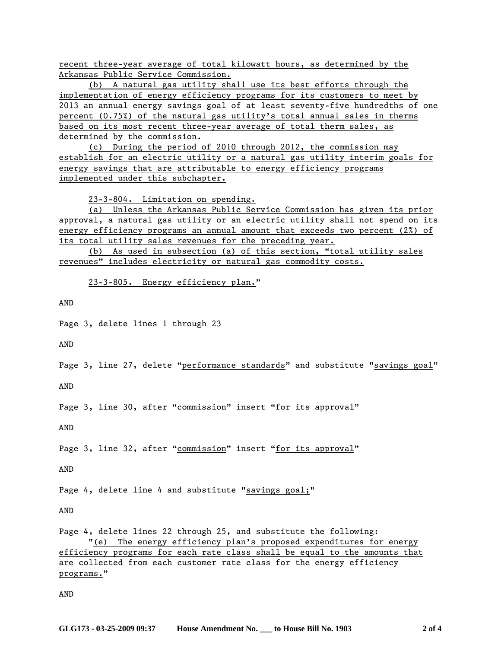recent three-year average of total kilowatt hours, as determined by the Arkansas Public Service Commission.

 (b) A natural gas utility shall use its best efforts through the implementation of energy efficiency programs for its customers to meet by 2013 an annual energy savings goal of at least seventy-five hundredths of one percent (0.75%) of the natural gas utility's total annual sales in therms based on its most recent three-year average of total therm sales, as determined by the commission.

 (c) During the period of 2010 through 2012, the commission may establish for an electric utility or a natural gas utility interim goals for energy savings that are attributable to energy efficiency programs implemented under this subchapter.

23-3-804. Limitation on spending.

 (a) Unless the Arkansas Public Service Commission has given its prior approval, a natural gas utility or an electric utility shall not spend on its energy efficiency programs an annual amount that exceeds two percent (2%) of its total utility sales revenues for the preceding year.

 (b) As used in subsection (a) of this section, "total utility sales revenues" includes electricity or natural gas commodity costs.

23-3-805. Energy efficiency plan."

AND

Page 3, delete lines 1 through 23

AND

Page 3, line 27, delete "performance standards" and substitute "savings goal"

AND

Page 3, line 30, after "commission" insert "for its approval"

AND

Page 3, line 32, after "commission" insert "for its approval"

AND

Page 4, delete line 4 and substitute "savings goal;"

AND

Page 4, delete lines 22 through 25, and substitute the following: "(e) The energy efficiency plan's proposed expenditures for energy efficiency programs for each rate class shall be equal to the amounts that are collected from each customer rate class for the energy efficiency programs."

AND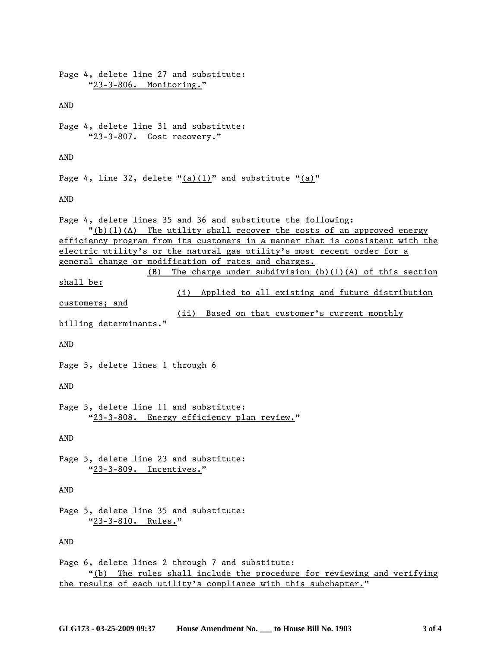| Page 4, delete line 27 and substitute:<br>"23-3-806. Monitoring."                                                                                                                                                                                                                                                                                                                                                                                                                                                                                                                                    |
|------------------------------------------------------------------------------------------------------------------------------------------------------------------------------------------------------------------------------------------------------------------------------------------------------------------------------------------------------------------------------------------------------------------------------------------------------------------------------------------------------------------------------------------------------------------------------------------------------|
| AND                                                                                                                                                                                                                                                                                                                                                                                                                                                                                                                                                                                                  |
| Page 4, delete line 31 and substitute:<br>"23-3-807. Cost recovery."                                                                                                                                                                                                                                                                                                                                                                                                                                                                                                                                 |
| AND                                                                                                                                                                                                                                                                                                                                                                                                                                                                                                                                                                                                  |
| Page 4, line 32, delete " $(a)(1)$ " and substitute " $(a)$ "                                                                                                                                                                                                                                                                                                                                                                                                                                                                                                                                        |
| AND                                                                                                                                                                                                                                                                                                                                                                                                                                                                                                                                                                                                  |
| Page 4, delete lines 35 and 36 and substitute the following:<br>$"(b)(1)(A)$ The utility shall recover the costs of an approved energy<br>efficiency program from its customers in a manner that is consistent with the<br>electric utility's or the natural gas utility's most recent order for a<br>general change or modification of rates and charges.<br>$(B)$ The charge under subdivision $(b)(1)(A)$ of this section<br><u>shall be:</u><br>(i) Applied to all existing and future distribution<br>customers; and<br>(ii) Based on that customer's current monthly<br>billing determinants." |
| AND                                                                                                                                                                                                                                                                                                                                                                                                                                                                                                                                                                                                  |
| Page 5, delete lines 1 through 6<br>AND                                                                                                                                                                                                                                                                                                                                                                                                                                                                                                                                                              |
| Page 5, delete line 11 and substitute:<br>"23-3-808. Energy efficiency plan review."                                                                                                                                                                                                                                                                                                                                                                                                                                                                                                                 |
| AND                                                                                                                                                                                                                                                                                                                                                                                                                                                                                                                                                                                                  |
| Page 5, delete line 23 and substitute:<br>"23-3-809. Incentives."                                                                                                                                                                                                                                                                                                                                                                                                                                                                                                                                    |
| AND                                                                                                                                                                                                                                                                                                                                                                                                                                                                                                                                                                                                  |
| Page 5, delete line 35 and substitute:<br>"23-3-810. Rules."                                                                                                                                                                                                                                                                                                                                                                                                                                                                                                                                         |
| AND                                                                                                                                                                                                                                                                                                                                                                                                                                                                                                                                                                                                  |
| Page 6, delete lines 2 through 7 and substitute:<br>"(b) The rules shall include the procedure for reviewing and verifying<br>the results of each utility's compliance with this subchapter."                                                                                                                                                                                                                                                                                                                                                                                                        |